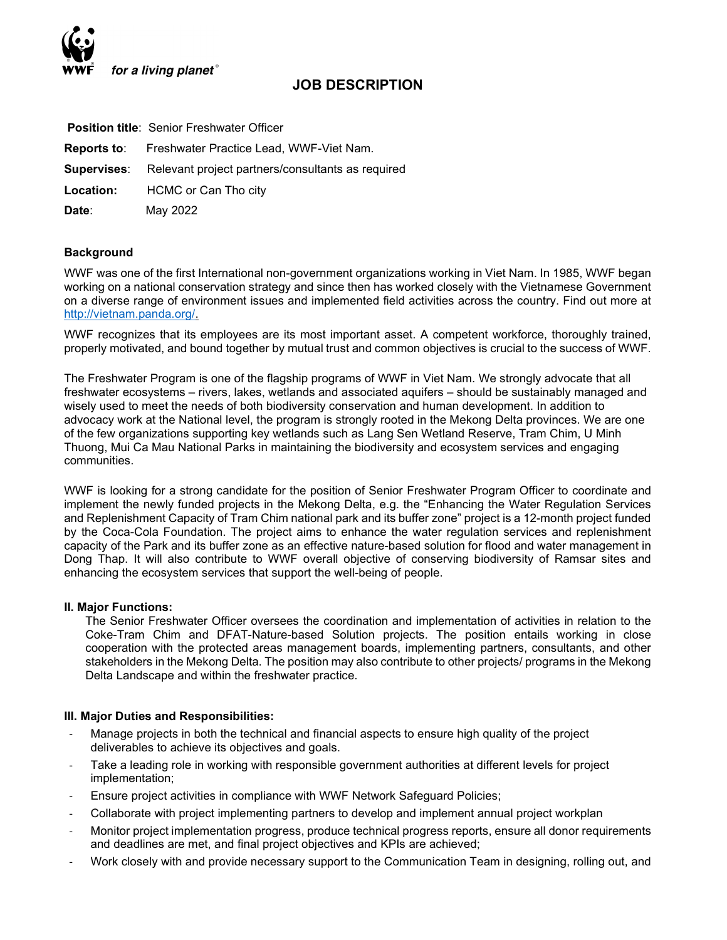

# JOB DESCRIPTION

|                  | <b>Position title: Senior Freshwater Officer</b>                     |
|------------------|----------------------------------------------------------------------|
|                  | <b>Reports to:</b> Freshwater Practice Lead, WWF-Viet Nam.           |
|                  | <b>Supervises:</b> Relevant project partners/consultants as required |
| <b>Location:</b> | HCMC or Can Tho city                                                 |
| Date:            | May 2022                                                             |

### **Background**

WWF was one of the first International non-government organizations working in Viet Nam. In 1985, WWF began working on a national conservation strategy and since then has worked closely with the Vietnamese Government on a diverse range of environment issues and implemented field activities across the country. Find out more at http://vietnam.panda.org/.

WWF recognizes that its employees are its most important asset. A competent workforce, thoroughly trained, properly motivated, and bound together by mutual trust and common objectives is crucial to the success of WWF.

The Freshwater Program is one of the flagship programs of WWF in Viet Nam. We strongly advocate that all freshwater ecosystems – rivers, lakes, wetlands and associated aquifers – should be sustainably managed and wisely used to meet the needs of both biodiversity conservation and human development. In addition to advocacy work at the National level, the program is strongly rooted in the Mekong Delta provinces. We are one of the few organizations supporting key wetlands such as Lang Sen Wetland Reserve, Tram Chim, U Minh Thuong, Mui Ca Mau National Parks in maintaining the biodiversity and ecosystem services and engaging communities.

WWF is looking for a strong candidate for the position of Senior Freshwater Program Officer to coordinate and implement the newly funded projects in the Mekong Delta, e.g. the "Enhancing the Water Regulation Services and Replenishment Capacity of Tram Chim national park and its buffer zone" project is a 12-month project funded by the Coca-Cola Foundation. The project aims to enhance the water regulation services and replenishment capacity of the Park and its buffer zone as an effective nature-based solution for flood and water management in Dong Thap. It will also contribute to WWF overall objective of conserving biodiversity of Ramsar sites and enhancing the ecosystem services that support the well-being of people.

### II. Major Functions:

The Senior Freshwater Officer oversees the coordination and implementation of activities in relation to the Coke-Tram Chim and DFAT-Nature-based Solution projects. The position entails working in close cooperation with the protected areas management boards, implementing partners, consultants, and other stakeholders in the Mekong Delta. The position may also contribute to other projects/ programs in the Mekong Delta Landscape and within the freshwater practice.

### III. Major Duties and Responsibilities:

- Manage projects in both the technical and financial aspects to ensure high quality of the project deliverables to achieve its objectives and goals.
- Take a leading role in working with responsible government authorities at different levels for project implementation;
- Ensure project activities in compliance with WWF Network Safeguard Policies;
- Collaborate with project implementing partners to develop and implement annual project workplan
- Monitor project implementation progress, produce technical progress reports, ensure all donor requirements and deadlines are met, and final project objectives and KPIs are achieved;
- Work closely with and provide necessary support to the Communication Team in designing, rolling out, and